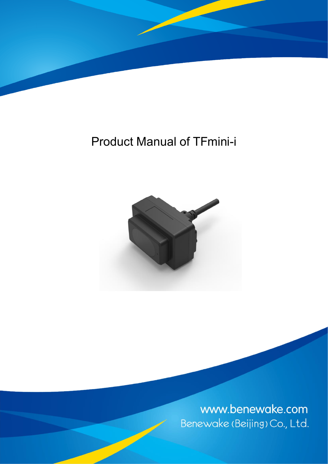

# Product Manual of TFmini-i



www.benewake.com Benewake (Beijing) Co., Ltd.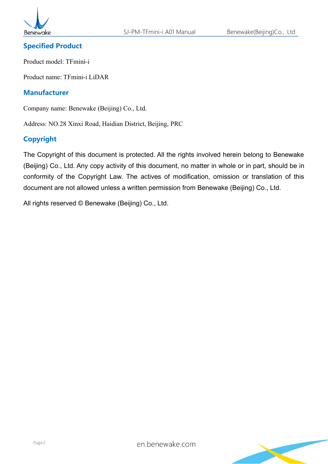

#### **Specified Product**

Product model: TFmini-i

Product name: TFmini-i LiDAR

#### **Manufacturer**

Company name: Benewake (Beijing) Co., Ltd.

Address: NO.28 Xinxi Road, Haidian District, Beijing, PRC

#### **Copyright**

The Copyright of this document is protected. All the rights involved herein belong to Benewake (Beijing) Co., Ltd. Any copy activity of this document, no matter in whole or in part, should be in conformity of the Copyright Law. The actives of modification, omission or translation of this document are not allowed unless a written permission from Benewake (Beijing) Co., Ltd.

All rights reserved © Benewake (Beijing) Co., Ltd.

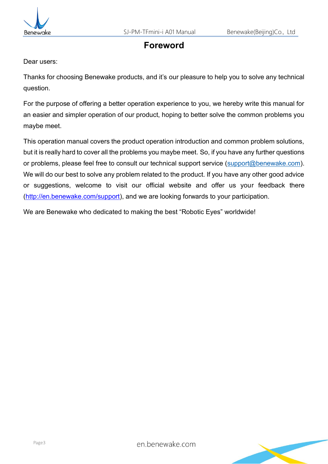



## **Foreword**

Dear users:

Thanks for choosing Benewake products, and it's our pleasure to help you to solve any technical question.

For the purpose of offering a better operation experience to you, we hereby write this manual for an easier and simpler operation of our product, hoping to better solve the common problems you maybe meet.

This operation manual covers the product operation introduction and common problem solutions, but it is really hard to cover all the problems you maybe meet. So, if you have any further questions or problems, please feel free to consult our technical support service [\(support@benewake.com\)](mailto:support@benewake.com). We will do our best to solve any problem related to the product. If you have any other good advice or suggestions, welcome to visit our official website and offer us your feedback there [\(http://en.benewake.com/support\)](http://en.benewake.com/support), and we are looking forwards to your participation.

We are Benewake who dedicated to making the best "Robotic Eyes" worldwide!

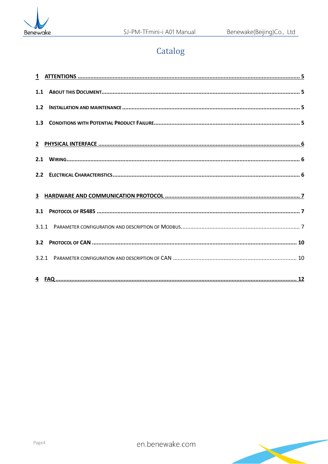

## Catalog

| 1.1 |  |
|-----|--|
| 1.2 |  |
|     |  |
|     |  |
| 2.1 |  |
| 2.2 |  |
|     |  |
| 3.1 |  |
|     |  |
| 3.2 |  |
|     |  |
|     |  |

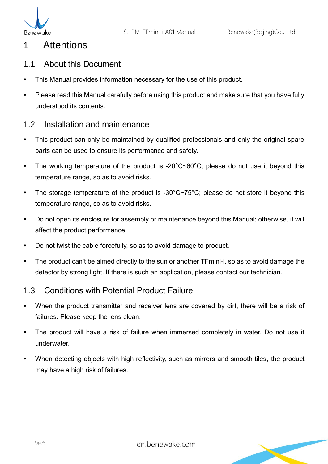

## <span id="page-4-0"></span>1 Attentions

#### <span id="page-4-1"></span>1.1 About this Document

- This Manual provides information necessary for the use of this product.
- Please read this Manual carefully before using this product and make sure that you have fully understood its contents.

### <span id="page-4-2"></span>1.2 Installation and maintenance

- This product can only be maintained by qualified professionals and only the original spare parts can be used to ensure its performance and safety.
- The working temperature of the product is -20°C~60°C; please do not use it beyond this temperature range, so as to avoid risks.
- The storage temperature of the product is -30 $^{\circ}$ C $\sim$ 75 $^{\circ}$ C; please do not store it beyond this temperature range, so as to avoid risks.
- Do not open its enclosure for assembly or maintenance beyond this Manual; otherwise, it will affect the product performance.
- Do not twist the cable forcefully, so as to avoid damage to product.
- The product can't be aimed directly to the sun or another TFmini-i, so as to avoid damage the detector by strong light. If there is such an application, please contact our technician.

### <span id="page-4-3"></span>1.3 Conditions with Potential Product Failure

- When the product transmitter and receiver lens are covered by dirt, there will be a risk of failures. Please keep the lens clean.
- The product will have a risk of failure when immersed completely in water. Do not use it underwater.
- When detecting objects with high reflectivity, such as mirrors and smooth tiles, the product may have a high risk of failures.

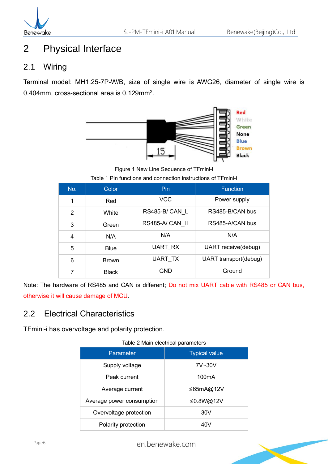## <span id="page-5-0"></span>2 Physical Interface

## <span id="page-5-1"></span>2.1 Wiring

Terminal model: MH1.25-7P-W/B, size of single wire is AWG26, diameter of single wire is 0.404mm, cross-sectional area is  $0.129$ mm<sup>2</sup>.



Figure 1 New Line Sequence of TFmini-i

| Table 1 Pin functions and connection instructions of TFmini-i |  |  |  |  |  |  |  |  |  |
|---------------------------------------------------------------|--|--|--|--|--|--|--|--|--|
|---------------------------------------------------------------|--|--|--|--|--|--|--|--|--|

| No. | Color        | <b>Pin</b>     | <b>Function</b>       |
|-----|--------------|----------------|-----------------------|
| 1   | Red          | <b>VCC</b>     | Power supply          |
| 2   | White        | RS485-B/CAN L  | RS485-B/CAN bus       |
| 3   | Green        | RS485-A/CAN H  | RS485-A/CAN bus       |
| 4   | N/A          | N/A            | N/A                   |
| 5   | Blue         | UART RX        | UART receive(debug)   |
| 6   | <b>Brown</b> | <b>UART TX</b> | UART transport(debug) |
|     | <b>Black</b> | GND            | Ground                |

Note: The hardware of RS485 and CAN is different; Do not mix UART cable with RS485 or CAN bus, otherwise it will cause damage of MCU.

## <span id="page-5-2"></span>2.2 Electrical Characteristics

TFmini-i has overvoltage and polarity protection.

| Table 2 Main electrical parameters |                      |  |  |  |  |
|------------------------------------|----------------------|--|--|--|--|
| Parameter                          | <b>Typical value</b> |  |  |  |  |
| Supply voltage                     | 7V~30V               |  |  |  |  |
| Peak current                       | 100 <sub>m</sub> A   |  |  |  |  |
| Average current                    | ≤65mA@12V            |  |  |  |  |
| Average power consumption          | ≤0.8W@12V            |  |  |  |  |
| Overvoltage protection             | 30V                  |  |  |  |  |
| Polarity protection                | 40v                  |  |  |  |  |

## Table 2 Main electrical parameters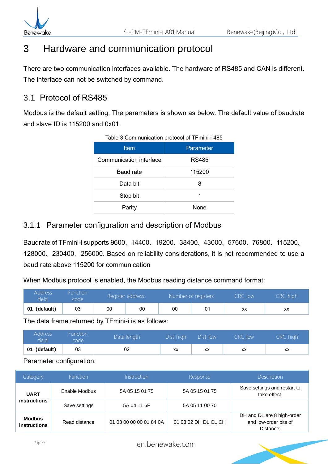

## <span id="page-6-0"></span>3 Hardware and communication protocol

There are two communication interfaces available. The hardware of RS485 and CAN is different. The interface can not be switched by command.

### <span id="page-6-1"></span>3.1 Protocol of RS485

Modbus is the default setting. The parameters is shown as below. The default value of baudrate and slave ID is 115200 and 0x01.

| <b>Item</b>             | Parameter    |  |  |  |  |
|-------------------------|--------------|--|--|--|--|
| Communication interface | <b>RS485</b> |  |  |  |  |
| <b>Baud rate</b>        | 115200       |  |  |  |  |
| Data bit                | 8            |  |  |  |  |
| Stop bit                |              |  |  |  |  |
| Parity                  | None         |  |  |  |  |

#### Table 3 Communication protocol of TFmini-i-485

#### <span id="page-6-2"></span>3.1.1 Parameter configuration and description of Modbus

Baudrate of TFmini-i supports 9600、14400、19200、38400、43000、57600、76800、115200、 128000、230400、256000. Based on reliability considerations, it is not recommended to use a baud rate above 115200 for communication

When Modbus protocol is enabled, the Modbus reading distance command format:

| Address<br>field | Function.<br>code | Register address |    |    | Number of registers |    | CRC high |
|------------------|-------------------|------------------|----|----|---------------------|----|----------|
| (default)<br>01  | 03                | 00               | 00 | 00 | 01                  | XX | XX       |

The data frame returned by TFmini-i is as follows:

| Address<br>field | Function<br>code | Data length <sup>1</sup> | Dist high | <b>Dict</b><br>low<br>$\sim$ | `R(<br>low | high<br>RC |
|------------------|------------------|--------------------------|-----------|------------------------------|------------|------------|
| 01<br>(default)  | 03               | 02                       | XX        | ХX                           | ХX         | XX         |

Parameter configuration:

| Category                             | <b>Function</b> | Instruction             | Response             | Description                                                      |
|--------------------------------------|-----------------|-------------------------|----------------------|------------------------------------------------------------------|
| <b>UART</b>                          | Enable Modbus   | 5A 05 15 01 75          | 5A 05 15 01 75       | Save settings and restart to<br>take effect.                     |
| <i>instructions</i>                  | Save settings   | 5A 04 11 6F             | 5A 05 11 00 70       |                                                                  |
| <b>Modbus</b><br><b>instructions</b> | Read distance   | 01 03 00 00 00 01 84 0A | 01 03 02 DH DL CL CH | DH and DL are 8 high-order<br>and low-order bits of<br>Distance: |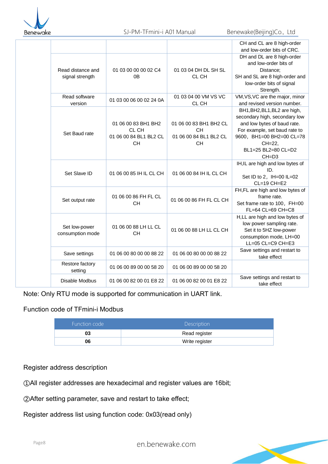

|                                      |                                                                     |                                                                            | CH and CL are 8 high-order<br>and low-order bits of CRC.                                                                                                                                                 |
|--------------------------------------|---------------------------------------------------------------------|----------------------------------------------------------------------------|----------------------------------------------------------------------------------------------------------------------------------------------------------------------------------------------------------|
| Read distance and<br>signal strength | 01 03 00 00 00 02 C4<br>0B                                          | 01 03 04 DH DL SH SL<br>CL CH                                              | DH and DL are 8 high-order<br>and low-order bits of<br>Distance;<br>SH and SL are 8 high-order and<br>low-order bits of signal<br>Strength.                                                              |
| Read software<br>version             | 01 03 00 06 00 02 24 0A                                             | 01 03 04 00 VM VS VC<br>CL CH                                              | VM, VS, VC are the major, minor<br>and revised version number.                                                                                                                                           |
| Set Baud rate                        | 01 06 00 83 BH1 BH2<br>CL CH<br>01 06 00 84 BL1 BL2 CL<br><b>CH</b> | 01 06 00 83 BH1 BH2 CL<br><b>CH</b><br>01 06 00 84 BL1 BL2 CL<br><b>CH</b> | BH1, BH2, BL1, BL2 are high,<br>secondary high, secondary low<br>and low bytes of baud rate.<br>For example, set baud rate to<br>9600, BH1=00 BH2=00 CL=78<br>CH=22,<br>BL1=25 BL2=80 CL=D2<br>$CH = D3$ |
| Set Slave ID                         | 01 06 00 85 IH IL CL CH                                             | 01 06 00 84 IH IL CL CH                                                    | IH, IL are high and low bytes of<br>ID.<br>Set ID to 2, IH=00 IL=02<br>$CL=19$ $CH=E2$                                                                                                                   |
| Set output rate                      | 01 06 00 86 FH FL CL<br><b>CH</b>                                   | 01 06 00 86 FH FL CL CH                                                    | FH, FL are high and low bytes of<br>frame rate.<br>Set frame rate to 100, FH=00<br>FL=64 CL=69 CH=C8                                                                                                     |
| Set low-power<br>consumption mode    | 01 06 00 88 LH LL CL<br><b>CH</b>                                   | 01 06 00 88 LH LL CL CH                                                    | H,LL are high and low bytes of<br>low power sampling rate.<br>Set it to 5HZ low-power<br>consumption mode, LH=00<br>LL=05 CL=C9 CH=E3                                                                    |
| Save settings                        | 01 06 00 80 00 00 88 22                                             | 01 06 00 80 00 00 88 22                                                    | Save settings and restart to<br>take effect                                                                                                                                                              |
| Restore factory<br>setting           | 01 06 00 89 00 00 58 20                                             | 01 06 00 89 00 00 58 20                                                    |                                                                                                                                                                                                          |
| Disable Modbus                       | 01 06 00 82 00 01 E8 22                                             | 01 06 00 82 00 01 E8 22                                                    | Save settings and restart to<br>take effect                                                                                                                                                              |

Note: Only RTU mode is supported for communication in UART link.

#### Function code of TFmini-i Modbus

| Function code | <b>Description</b> |
|---------------|--------------------|
|               | Read register      |
| 06            | Write register     |

#### Register address description

①All register addresses are hexadecimal and register values are 16bit;

②After setting parameter, save and restart to take effect;

[Register address list using function code: 0x03\(read only\)](http://www.benewake.com/)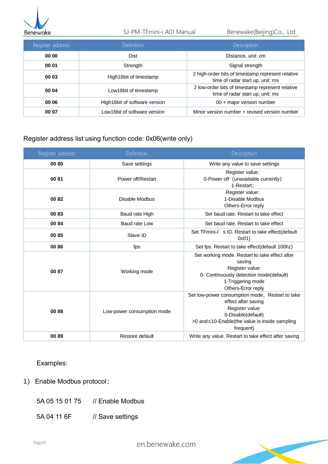

#### SJ-PM-TFmini-i A01 Manual Benewake(Beijing)Co., Ltd

| Register address | <b>Definition</b>             | <b>Description</b>                                                                    |
|------------------|-------------------------------|---------------------------------------------------------------------------------------|
| 00 00            | Dist                          | Distance, unit: cm                                                                    |
| 00 01            | Strength                      | Signal strength                                                                       |
| 00 03            | High16bit of timestamp        | 2 high-order bits of timestamp represent relative<br>time of radar start up, unit: ms |
| 00 04            | Low16bit of timestamp         | 2 low-order bits of timestamp represent relative<br>time of radar start up, unit: ms  |
| 00 06            | High16bit of software version | 00 + major version number                                                             |
| 00 07            | Low16bit of software version  | Minor version number + revised version number                                         |

#### Register address list using function code: 0x06(write only)

| Register address | <b>Definition</b>          | Description                                                                                                                                                                    |
|------------------|----------------------------|--------------------------------------------------------------------------------------------------------------------------------------------------------------------------------|
| 00 80            | Save settings              | Write any value to save settings                                                                                                                                               |
| 0081             | Power off/Restart          | Register value:<br>0-Power off (unavailable currently)<br>1-Restart;                                                                                                           |
| 0082             | Disable Modbus             | Register value:<br>1-Disable Modbus<br>Others-Error reply                                                                                                                      |
| 0083             | Baud rate High             | Set baud rate. Restart to take effect                                                                                                                                          |
| 0084             | Baud rate Low              | Set baud rate. Restart to take effect                                                                                                                                          |
| 0085             | Slave ID                   | Set TFmini-i's ID. Restart to take effect(default<br>0x01)                                                                                                                     |
| 00 86            | fps                        | Set fps. Restart to take effect(default 100hz)                                                                                                                                 |
| 0087             | Working mode               | Set working mode. Restart to take effect after<br>saving<br>Register value:<br>0- Continuously detection mode(default)<br>1-Triggering mode<br>Others-Error reply              |
| 0088             | Low-power consumption mode | Set low-power consumption mode, Restart to take<br>effect after saving<br>Register value:<br>0-Disable(default)<br>>0 and ≤10-Enable(the value is inside sampling<br>frequent) |
| 0089             | Restore default            | Write any value. Restart to take effect after saving                                                                                                                           |

#### Examples:

- 1) Enable Modbus protocol:
	- 5A 05 15 01 75 // Enable Modbus
	- [5A 04 11 6F // Save settings](http://www.benewake.com/)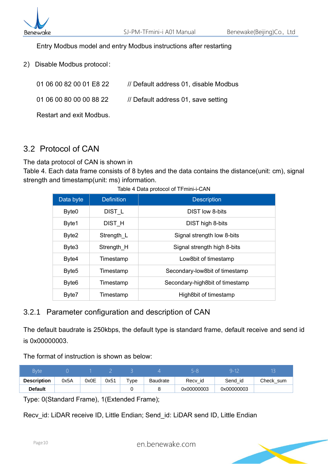

#### Entry Modbus model and entry Modbus instructions after restarting

2) Disable Modbus protocol:

01 06 00 82 00 01 E8 22 // Default address 01, disable Modbus

01 06 00 80 00 00 88 22 // Default address 01, save setting

Restart and exit Modbus.

## <span id="page-9-0"></span>3.2 Protocol of CAN

The data protocol of CAN is shown in

[Table 4.](#page-9-2) Each data frame consists of 8 bytes and the data contains the distance(unit: cm), signal strength and timestamp(unit: ms) information.

| Data byte         | <b>Definition</b> | <b>Description</b>              |
|-------------------|-------------------|---------------------------------|
| Byte <sub>0</sub> | DIST <sub>L</sub> | <b>DIST low 8-bits</b>          |
| Byte1             | DIST <sub>H</sub> | DIST high 8-bits                |
| Byte2             | Strength L        | Signal strength low 8-bits      |
| Byte3             | Strength H        | Signal strength high 8-bits     |
| Byte4             | Timestamp         | Low8bit of timestamp            |
| Byte <sub>5</sub> | Timestamp         | Secondary-low8bit of timestamp  |
| Byte <sub>6</sub> | Timestamp         | Secondary-high8bit of timestamp |
| Byte7             | Timestamp         | High8bit of timestamp           |

<span id="page-9-2"></span>Table 4 Data protocol of TFmini-i-CAN

#### <span id="page-9-1"></span>3.2.1 Parameter configuration and description of CAN

The default baudrate is 250kbps, the default type is standard frame, default receive and send id is 0x00000003.

The format of instruction is shown as below:

| Byte               |      |      |      |                    |                 |            |         |           |  |  |
|--------------------|------|------|------|--------------------|-----------------|------------|---------|-----------|--|--|
| <b>Description</b> | 0x5A | 0x0E | 0x51 | $T$ <sub>VDe</sub> | <b>Baudrate</b> | Recy id    | Send id | Check sum |  |  |
| <b>Default</b>     |      |      |      |                    | 0x00000003      | 0x00000003 |         |           |  |  |

Type: 0(Standard Frame), 1(Extended Frame);

Recv id: LiDAR receive ID, Little Endian; Send id: LiDAR send ID, Little Endian

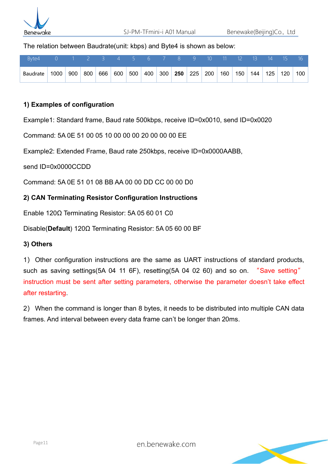

The relation between Baudrate(unit: kbps) and Byte4 is shown as below:

| l Byte4   0   1   2   3   4   5   6   7   8   9   10   11 <u>12  13  14  15  16 <sup>1</sup></u> |  |  |   |  |  |  |  |  |  |
|--------------------------------------------------------------------------------------------------|--|--|---|--|--|--|--|--|--|
| Baudrate 1000 900 800 666 600 500 400 300 250 225 200 160 150 144 125 120 100                    |  |  | . |  |  |  |  |  |  |

#### **1) Examples of configuration**

Example1: Standard frame, Baud rate 500kbps, receive ID=0x0010, send ID=0x0020

Command: 5A 0E 51 00 05 10 00 00 00 20 00 00 00 EE

Example2: Extended Frame, Baud rate 250kbps, receive ID=0x0000AABB,

send ID=0x0000CCDD

Command: 5A 0E 51 01 08 BB AA 00 00 DD CC 00 00 D0

#### **2) CAN Terminating Resistor Configuration Instructions**

Enable 120Ω Terminating Resistor: 5A 05 60 01 C0

Disable(**Default**) 120Ω Terminating Resistor: 5A 05 60 00 BF

#### **3) Others**

1) Other configuration instructions are the same as UART instructions of standard products, such as saving settings(5A 04 11 6F), resetting(5A 04 02 60) and so on. "Save setting" instruction must be sent after setting parameters, otherwise the parameter doesn't take effect after restarting.

2) When the command is longer than 8 bytes, it needs to be distributed into multiple CAN data frames. And interval between every data frame can't be longer than 20ms.